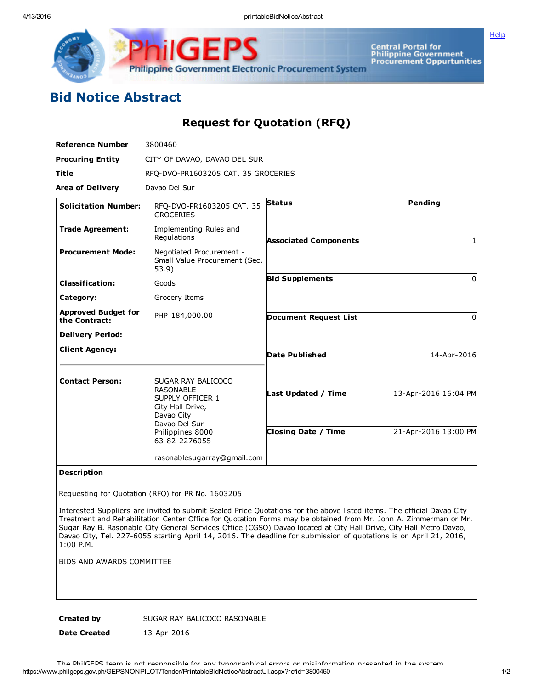

GE Philippine Government Electronic Procurement System

Central Portal for<br>Philippine Government<br>Procurement Oppurtunities

## Bid Notice Abstract

## Request for Quotation (RFQ)

| <b>Reference Number</b>                     | 3800460                                                                                                                      |                              |                      |
|---------------------------------------------|------------------------------------------------------------------------------------------------------------------------------|------------------------------|----------------------|
| <b>Procuring Entity</b>                     | CITY OF DAVAO, DAVAO DEL SUR                                                                                                 |                              |                      |
| <b>Title</b>                                | RFO-DVO-PR1603205 CAT. 35 GROCERIES                                                                                          |                              |                      |
| <b>Area of Delivery</b>                     | Davao Del Sur                                                                                                                |                              |                      |
| <b>Solicitation Number:</b>                 | RFQ-DVO-PR1603205 CAT. 35<br><b>GROCERIES</b>                                                                                | <b>Status</b>                | Pending              |
| <b>Trade Agreement:</b>                     | Implementing Rules and<br>Regulations                                                                                        | <b>Associated Components</b> |                      |
| <b>Procurement Mode:</b>                    | Negotiated Procurement -<br>Small Value Procurement (Sec.<br>53.9)                                                           |                              |                      |
| <b>Classification:</b>                      | Goods                                                                                                                        | <b>Bid Supplements</b>       | 0                    |
| Category:                                   | Grocery Items                                                                                                                |                              |                      |
| <b>Approved Budget for</b><br>the Contract: | PHP 184,000.00                                                                                                               | <b>Document Request List</b> | 0                    |
| <b>Delivery Period:</b>                     |                                                                                                                              |                              |                      |
| <b>Client Agency:</b>                       |                                                                                                                              | <b>Date Published</b>        | 14-Apr-2016          |
| <b>Contact Person:</b>                      | SUGAR RAY BALICOCO                                                                                                           |                              |                      |
|                                             | <b>RASONABLE</b><br>SUPPLY OFFICER 1<br>City Hall Drive,<br>Davao City<br>Davao Del Sur<br>Philippines 8000<br>63-82-2276055 | Last Updated / Time          | 13-Apr-2016 16:04 PM |
|                                             |                                                                                                                              | <b>Closing Date / Time</b>   | 21-Apr-2016 13:00 PM |
|                                             | rasonablesugarray@gmail.com                                                                                                  |                              |                      |

## Description

Requesting for Quotation (RFQ) for PR No. 1603205

Interested Suppliers are invited to submit Sealed Price Quotations for the above listed items. The official Davao City Treatment and Rehabilitation Center Office for Quotation Forms may be obtained from Mr. John A. Zimmerman or Mr. Sugar Ray B. Rasonable City General Services Office (CGSO) Davao located at City Hall Drive, City Hall Metro Davao, Davao City, Tel. 227-6055 starting April 14, 2016. The deadline for submission of quotations is on April 21, 2016, 1:00 P.M.

BIDS AND AWARDS COMMITTEE

Created by SUGAR RAY BALICOCO RASONABLE

Date Created 13-Apr-2016